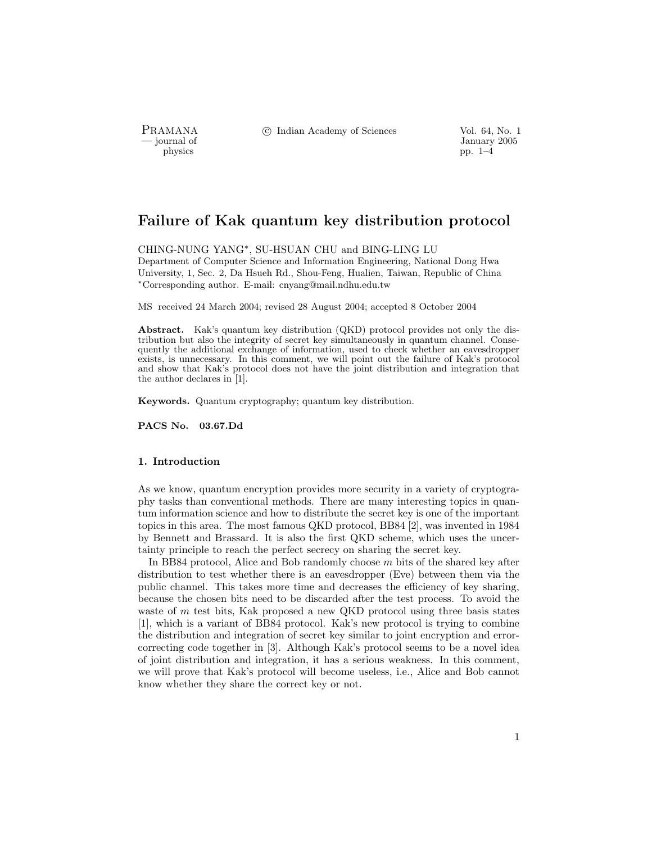physics pp. 1–4

PRAMANA °<sup>c</sup> Indian Academy of Sciences Vol. 64, No. 1

January 2005<br>
physics physics pp. 1–4

# Failure of Kak quantum key distribution protocol

CHING-NUNG YANG<sup>∗</sup>, SU-HSUAN CHU and BING-LING LU Department of Computer Science and Information Engineering, National Dong Hwa University, 1, Sec. 2, Da Hsueh Rd., Shou-Feng, Hualien, Taiwan, Republic of China <sup>∗</sup>Corresponding author. E-mail: cnyang@mail.ndhu.edu.tw

MS received 24 March 2004; revised 28 August 2004; accepted 8 October 2004

Abstract. Kak's quantum key distribution (QKD) protocol provides not only the distribution but also the integrity of secret key simultaneously in quantum channel. Consequently the additional exchange of information, used to check whether an eavesdropper exists, is unnecessary. In this comment, we will point out the failure of Kak's protocol and show that Kak's protocol does not have the joint distribution and integration that the author declares in [1].

Keywords. Quantum cryptography; quantum key distribution.

PACS No. 03.67.Dd

# 1. Introduction

As we know, quantum encryption provides more security in a variety of cryptography tasks than conventional methods. There are many interesting topics in quantum information science and how to distribute the secret key is one of the important topics in this area. The most famous QKD protocol, BB84 [2], was invented in 1984 by Bennett and Brassard. It is also the first QKD scheme, which uses the uncertainty principle to reach the perfect secrecy on sharing the secret key.

In BB84 protocol, Alice and Bob randomly choose  $m$  bits of the shared key after distribution to test whether there is an eavesdropper (Eve) between them via the public channel. This takes more time and decreases the efficiency of key sharing, because the chosen bits need to be discarded after the test process. To avoid the waste of m test bits, Kak proposed a new QKD protocol using three basis states [1], which is a variant of BB84 protocol. Kak's new protocol is trying to combine the distribution and integration of secret key similar to joint encryption and errorcorrecting code together in [3]. Although Kak's protocol seems to be a novel idea of joint distribution and integration, it has a serious weakness. In this comment, we will prove that Kak's protocol will become useless, i.e., Alice and Bob cannot know whether they share the correct key or not.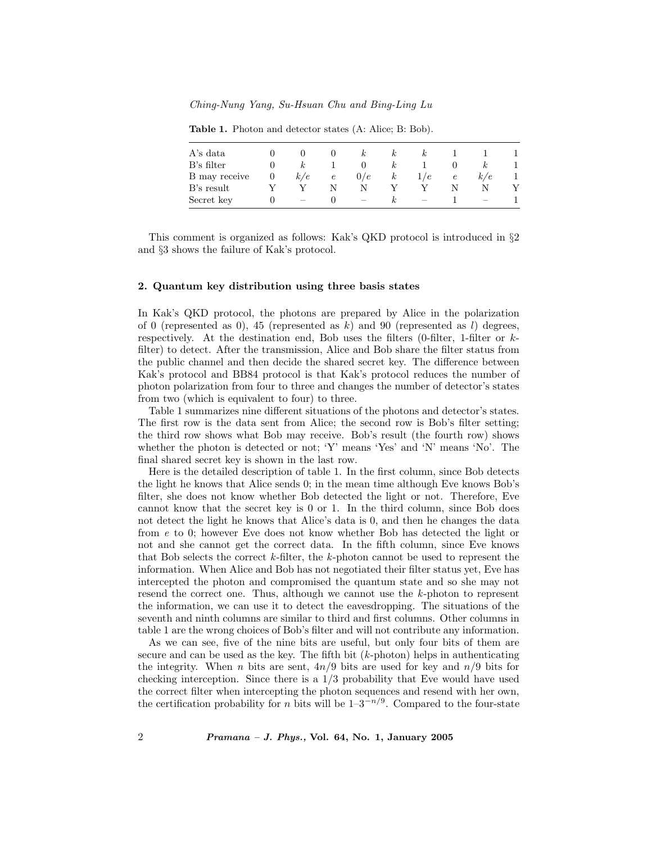Ching-Nung Yang, Su-Hsuan Chu and Bing-Ling Lu

| A's data      |   |     |            |     | $\kappa$ | $\kappa$ |            |     |  |
|---------------|---|-----|------------|-----|----------|----------|------------|-----|--|
| B's filter    |   | k,  |            |     | $\kappa$ |          |            |     |  |
| B may receive | O | k/e | $\epsilon$ | 0/e | $\kappa$ | 1/e      | $\epsilon$ | k/e |  |
| B's result    |   |     |            |     |          |          |            |     |  |
| Secret key    |   |     |            |     | k,       |          |            |     |  |

Table 1. Photon and detector states (A: Alice; B: Bob).

This comment is organized as follows: Kak's QKD protocol is introduced in §2 and §3 shows the failure of Kak's protocol.

# 2. Quantum key distribution using three basis states

In Kak's QKD protocol, the photons are prepared by Alice in the polarization of 0 (represented as 0), 45 (represented as k) and 90 (represented as l) degrees, respectively. At the destination end, Bob uses the filters  $(0\text{-filter}, 1\text{-filter})$  or kfilter) to detect. After the transmission, Alice and Bob share the filter status from the public channel and then decide the shared secret key. The difference between Kak's protocol and BB84 protocol is that Kak's protocol reduces the number of photon polarization from four to three and changes the number of detector's states from two (which is equivalent to four) to three.

Table 1 summarizes nine different situations of the photons and detector's states. The first row is the data sent from Alice; the second row is Bob's filter setting; the third row shows what Bob may receive. Bob's result (the fourth row) shows whether the photon is detected or not; 'Y' means 'Yes' and 'N' means 'No'. The final shared secret key is shown in the last row.

Here is the detailed description of table 1. In the first column, since Bob detects the light he knows that Alice sends 0; in the mean time although Eve knows Bob's filter, she does not know whether Bob detected the light or not. Therefore, Eve cannot know that the secret key is 0 or 1. In the third column, since Bob does not detect the light he knows that Alice's data is 0, and then he changes the data from e to 0; however Eve does not know whether Bob has detected the light or not and she cannot get the correct data. In the fifth column, since Eve knows that Bob selects the correct  $k$ -filter, the  $k$ -photon cannot be used to represent the information. When Alice and Bob has not negotiated their filter status yet, Eve has intercepted the photon and compromised the quantum state and so she may not resend the correct one. Thus, although we cannot use the k-photon to represent the information, we can use it to detect the eavesdropping. The situations of the seventh and ninth columns are similar to third and first columns. Other columns in table 1 are the wrong choices of Bob's filter and will not contribute any information.

As we can see, five of the nine bits are useful, but only four bits of them are secure and can be used as the key. The fifth bit  $(k\text{-photon})$  helps in authenticating the integrity. When *n* bits are sent,  $4n/9$  bits are used for key and  $n/9$  bits for checking interception. Since there is a  $1/3$  probability that Eve would have used the correct filter when intercepting the photon sequences and resend with her own, the certification probability for n bits will be  $1-3^{-n/9}$ . Compared to the four-state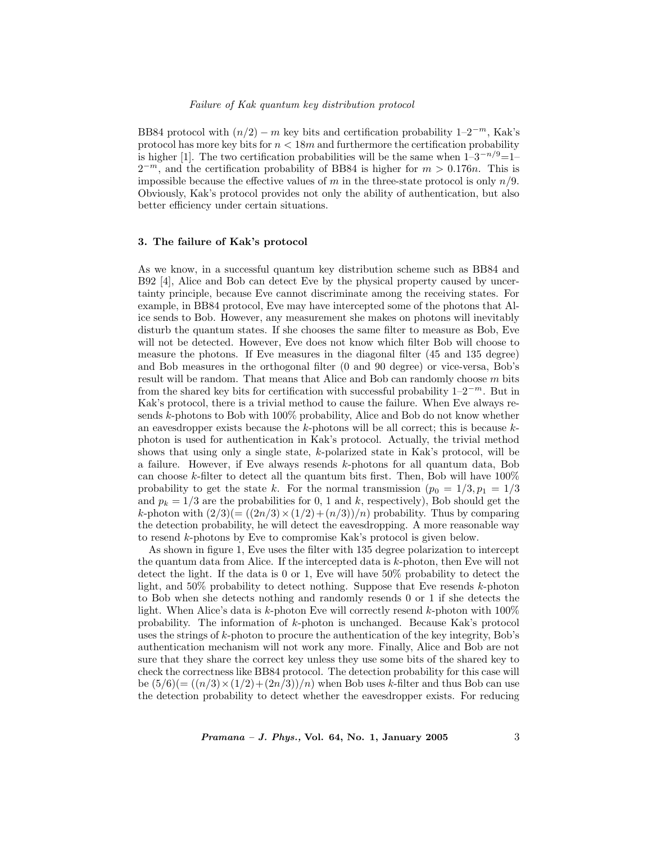BB84 protocol with  $(n/2) - m$  key bits and certification probability  $1-2^{-m}$ , Kak's protocol has more key bits for  $n < 18m$  and furthermore the certification probability is higher [1]. The two certification probabilities will be the same when  $1-3^{-n/9}=1 2^{-m}$ , and the certification probability of BB84 is higher for  $m > 0.176n$ . This is impossible because the effective values of m in the three-state protocol is only  $n/9$ . Obviously, Kak's protocol provides not only the ability of authentication, but also better efficiency under certain situations.

#### 3. The failure of Kak's protocol

As we know, in a successful quantum key distribution scheme such as BB84 and B92 [4], Alice and Bob can detect Eve by the physical property caused by uncertainty principle, because Eve cannot discriminate among the receiving states. For example, in BB84 protocol, Eve may have intercepted some of the photons that Alice sends to Bob. However, any measurement she makes on photons will inevitably disturb the quantum states. If she chooses the same filter to measure as Bob, Eve will not be detected. However, Eve does not know which filter Bob will choose to measure the photons. If Eve measures in the diagonal filter (45 and 135 degree) and Bob measures in the orthogonal filter (0 and 90 degree) or vice-versa, Bob's result will be random. That means that Alice and Bob can randomly choose  $m$  bits from the shared key bits for certification with successful probability  $1-2^{-m}$ . But in Kak's protocol, there is a trivial method to cause the failure. When Eve always resends k-photons to Bob with 100% probability, Alice and Bob do not know whether an eavesdropper exists because the  $k$ -photons will be all correct; this is because  $k$ photon is used for authentication in Kak's protocol. Actually, the trivial method shows that using only a single state, k-polarized state in Kak's protocol, will be a failure. However, if Eve always resends k-photons for all quantum data, Bob can choose k-filter to detect all the quantum bits first. Then, Bob will have  $100\%$ probability to get the state k. For the normal transmission  $(p_0 = 1/3, p_1 = 1/3$ and  $p_k = 1/3$  are the probabilities for 0, 1 and k, respectively), Bob should get the k-photon with  $\left(\frac{2}{3}\right)$ ( $=\left(\frac{(2n/3)\times(1/2)+(n/3)}{n}\right)$  probability. Thus by comparing the detection probability, he will detect the eavesdropping. A more reasonable way to resend k-photons by Eve to compromise Kak's protocol is given below.

As shown in figure 1, Eve uses the filter with 135 degree polarization to intercept the quantum data from Alice. If the intercepted data is k-photon, then Eve will not detect the light. If the data is 0 or 1, Eve will have 50% probability to detect the light, and 50% probability to detect nothing. Suppose that Eve resends k-photon to Bob when she detects nothing and randomly resends 0 or 1 if she detects the light. When Alice's data is  $k$ -photon Eve will correctly resend  $k$ -photon with  $100\%$ probability. The information of k-photon is unchanged. Because Kak's protocol uses the strings of  $k$ -photon to procure the authentication of the key integrity, Bob's authentication mechanism will not work any more. Finally, Alice and Bob are not sure that they share the correct key unless they use some bits of the shared key to check the correctness like BB84 protocol. The detection probability for this case will be  $(5/6)(=((n/3)\times(1/2)+(2n/3))/n)$  when Bob uses k-filter and thus Bob can use the detection probability to detect whether the eavesdropper exists. For reducing

 $Pramana - J. Phys., Vol. 64, No. 1, January 2005$  3